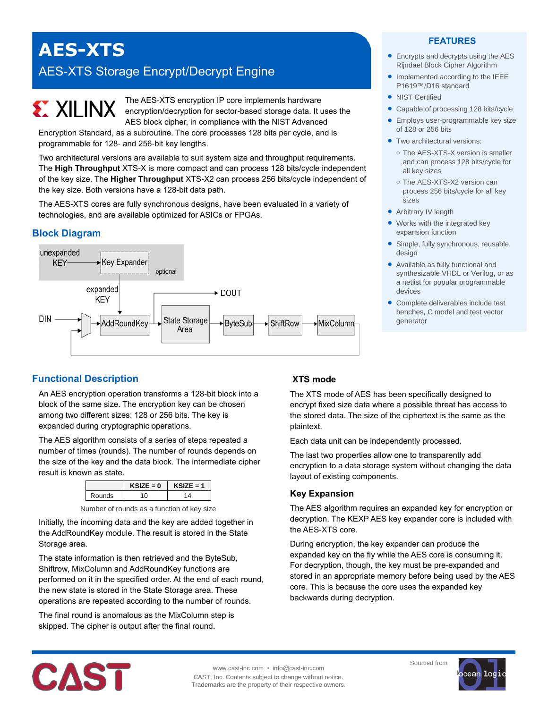# **AES-XTS** AES-XTS Storage Encrypt/Decrypt Engine

The AES-XTS encryption IP core implements hardware encryption/decryption for sector-based storage data. It uses the AES block cipher, in compliance with the NIST Advanced

Encryption Standard, as a subroutine. The core processes 128 bits per cycle, and is programmable for 128- and 256-bit key lengths.

Two architectural versions are available to suit system size and throughput requirements. The **High Throughput** XTS-X is more compact and can process 128 bits/cycle independent of the key size. The **Higher Throughput** XTS-X2 can process 256 bits/cycle independent of the key size. Both versions have a 128-bit data path.

The AES-XTS cores are fully synchronous designs, have been evaluated in a variety of technologies, and are available optimized for ASICs or FPGAs.

## **Block Diagram**

**EXALINX** 



## **FEATURES**

- Encrypts and decrypts using the AES Rijndael Block Cipher Algorithm
- Implemented according to the IEEE P1619™/D16 standard
- NIST Certified
- Capable of processing 128 bits/cycle
- **•** Employs user-programmable key size of 128 or 256 bits
- **Two architectural versions:** 
	- **o** The AES-XTS-X version is smaller and can process 128 bits/cycle for all key sizes
	- **o** The AES-XTS-X2 version can process 256 bits/cycle for all key sizes
- Arbitrary IV length
- Works with the integrated key expansion function
- Simple, fully synchronous, reusable design
- Available as fully functional and synthesizable VHDL or Verilog, or as a netlist for popular programmable devices
- Complete deliverables include test benches, C model and test vector generator

## **Functional Description**

An AES encryption operation transforms a 128-bit block into a block of the same size. The encryption key can be chosen among two different sizes: 128 or 256 bits. The key is expanded during cryptographic operations.

The AES algorithm consists of a series of steps repeated a number of times (rounds). The number of rounds depends on the size of the key and the data block. The intermediate cipher result is known as state.

|        | SIZE = 0 | (SIZE = 1 |
|--------|----------|-----------|
| Rounds |          |           |

| Number of rounds as a function of key size |  |  |  |
|--------------------------------------------|--|--|--|
|--------------------------------------------|--|--|--|

Initially, the incoming data and the key are added together in the AddRoundKey module. The result is stored in the State Storage area.

The state information is then retrieved and the ByteSub, Shiftrow, MixColumn and AddRoundKey functions are performed on it in the specified order. At the end of each round, the new state is stored in the State Storage area. These operations are repeated according to the number of rounds.

The final round is anomalous as the MixColumn step is skipped. The cipher is output after the final round.

## **XTS mode**

The XTS mode of AES has been specifically designed to encrypt fixed size data where a possible threat has access to the stored data. The size of the ciphertext is the same as the plaintext.

Each data unit can be independently processed.

The last two properties allow one to transparently add encryption to a data storage system without changing the data layout of existing components.

## **Key Expansion**

The AES algorithm requires an expanded key for encryption or decryption. The KEXP AES key expander core is included with the AES-XTS core.

During encryption, the key expander can produce the expanded key on the fly while the AES core is consuming it. For decryption, though, the key must be pre-expanded and stored in an appropriate memory before being used by the AES core. This is because the core uses the expanded key backwards during decryption.



www.cast-inc.com • info@cast-inc.com CAST, Inc. Contents subject to change without notice. Trademarks are the property of their respective owners. Sourced from